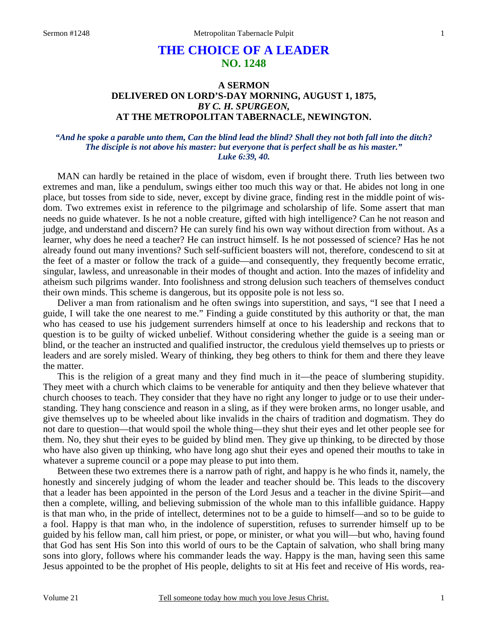# **THE CHOICE OF A LEADER NO. 1248**

# **A SERMON DELIVERED ON LORD'S-DAY MORNING, AUGUST 1, 1875,**  *BY C. H. SPURGEON,*  **AT THE METROPOLITAN TABERNACLE, NEWINGTON.**

### *"And he spoke a parable unto them, Can the blind lead the blind? Shall they not both fall into the ditch? The disciple is not above his master: but everyone that is perfect shall be as his master." Luke 6:39, 40.*

MAN can hardly be retained in the place of wisdom, even if brought there. Truth lies between two extremes and man, like a pendulum, swings either too much this way or that. He abides not long in one place, but tosses from side to side, never, except by divine grace, finding rest in the middle point of wisdom. Two extremes exist in reference to the pilgrimage and scholarship of life. Some assert that man needs no guide whatever. Is he not a noble creature, gifted with high intelligence? Can he not reason and judge, and understand and discern? He can surely find his own way without direction from without. As a learner, why does he need a teacher? He can instruct himself. Is he not possessed of science? Has he not already found out many inventions? Such self-sufficient boasters will not, therefore, condescend to sit at the feet of a master or follow the track of a guide—and consequently, they frequently become erratic, singular, lawless, and unreasonable in their modes of thought and action. Into the mazes of infidelity and atheism such pilgrims wander. Into foolishness and strong delusion such teachers of themselves conduct their own minds. This scheme is dangerous, but its opposite pole is not less so.

 Deliver a man from rationalism and he often swings into superstition, and says, "I see that I need a guide, I will take the one nearest to me." Finding a guide constituted by this authority or that, the man who has ceased to use his judgement surrenders himself at once to his leadership and reckons that to question is to be guilty of wicked unbelief. Without considering whether the guide is a seeing man or blind, or the teacher an instructed and qualified instructor, the credulous yield themselves up to priests or leaders and are sorely misled. Weary of thinking, they beg others to think for them and there they leave the matter.

 This is the religion of a great many and they find much in it—the peace of slumbering stupidity. They meet with a church which claims to be venerable for antiquity and then they believe whatever that church chooses to teach. They consider that they have no right any longer to judge or to use their understanding. They hang conscience and reason in a sling, as if they were broken arms, no longer usable, and give themselves up to be wheeled about like invalids in the chairs of tradition and dogmatism. They do not dare to question—that would spoil the whole thing—they shut their eyes and let other people see for them. No, they shut their eyes to be guided by blind men. They give up thinking, to be directed by those who have also given up thinking, who have long ago shut their eyes and opened their mouths to take in whatever a supreme council or a pope may please to put into them.

 Between these two extremes there is a narrow path of right, and happy is he who finds it, namely, the honestly and sincerely judging of whom the leader and teacher should be. This leads to the discovery that a leader has been appointed in the person of the Lord Jesus and a teacher in the divine Spirit—and then a complete, willing, and believing submission of the whole man to this infallible guidance. Happy is that man who, in the pride of intellect, determines not to be a guide to himself—and so to be guide to a fool. Happy is that man who, in the indolence of superstition, refuses to surrender himself up to be guided by his fellow man, call him priest, or pope, or minister, or what you will—but who, having found that God has sent His Son into this world of ours to be the Captain of salvation, who shall bring many sons into glory, follows where his commander leads the way. Happy is the man, having seen this same Jesus appointed to be the prophet of His people, delights to sit at His feet and receive of His words, rea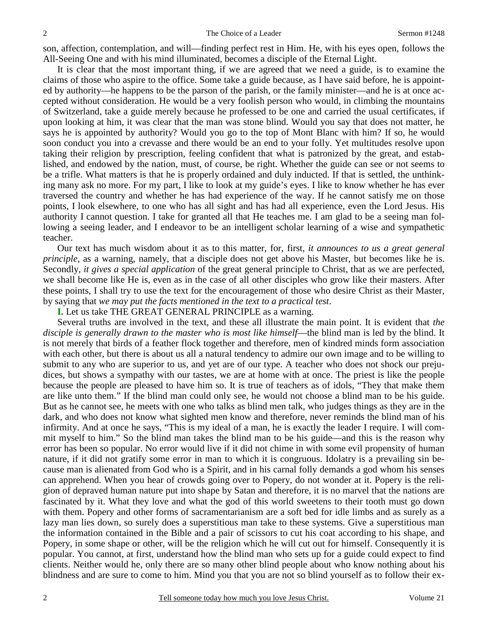son, affection, contemplation, and will—finding perfect rest in Him. He, with his eyes open, follows the All-Seeing One and with his mind illuminated, becomes a disciple of the Eternal Light.

 It is clear that the most important thing, if we are agreed that we need a guide, is to examine the claims of those who aspire to the office. Some take a guide because, as I have said before, he is appointed by authority—he happens to be the parson of the parish, or the family minister—and he is at once accepted without consideration. He would be a very foolish person who would, in climbing the mountains of Switzerland, take a guide merely because he professed to be one and carried the usual certificates, if upon looking at him, it was clear that the man was stone blind. Would you say that does not matter, he says he is appointed by authority? Would you go to the top of Mont Blanc with him? If so, he would soon conduct you into a crevasse and there would be an end to your folly. Yet multitudes resolve upon taking their religion by prescription, feeling confident that what is patronized by the great, and established, and endowed by the nation, must, of course, be right. Whether the guide can see or not seems to be a trifle. What matters is that he is properly ordained and duly inducted. If that is settled, the unthinking many ask no more. For my part, I like to look at my guide's eyes. I like to know whether he has ever traversed the country and whether he has had experience of the way. If he cannot satisfy me on those points, I look elsewhere, to one who has all sight and has had all experience, even the Lord Jesus. His authority I cannot question. I take for granted all that He teaches me. I am glad to be a seeing man following a seeing leader, and I endeavor to be an intelligent scholar learning of a wise and sympathetic teacher.

 Our text has much wisdom about it as to this matter, for, first, *it announces to us a great general principle*, as a warning, namely, that a disciple does not get above his Master, but becomes like he is. Secondly, *it gives a special application* of the great general principle to Christ, that as we are perfected, we shall become like He is, even as in the case of all other disciples who grow like their masters. After these points, I shall try to use the text for the encouragement of those who desire Christ as their Master, by saying that *we may put the facts mentioned in the text to a practical test*.

**I.** Let us take THE GREAT GENERAL PRINCIPLE as a warning.

 Several truths are involved in the text, and these all illustrate the main point. It is evident that *the disciple is generally drawn to the master who is most like himself*—the blind man is led by the blind. It is not merely that birds of a feather flock together and therefore, men of kindred minds form association with each other, but there is about us all a natural tendency to admire our own image and to be willing to submit to any who are superior to us, and yet are of our type. A teacher who does not shock our prejudices, but shows a sympathy with our tastes, we are at home with at once. The priest is like the people because the people are pleased to have him so. It is true of teachers as of idols, "They that make them are like unto them." If the blind man could only see, he would not choose a blind man to be his guide. But as he cannot see, he meets with one who talks as blind men talk, who judges things as they are in the dark, and who does not know what sighted men know and therefore, never reminds the blind man of his infirmity. And at once he says, "This is my ideal of a man, he is exactly the leader I require. I will commit myself to him." So the blind man takes the blind man to be his guide—and this is the reason why error has been so popular. No error would live if it did not chime in with some evil propensity of human nature, if it did not gratify some error in man to which it is congruous. Idolatry is a prevailing sin because man is alienated from God who is a Spirit, and in his carnal folly demands a god whom his senses can apprehend. When you hear of crowds going over to Popery, do not wonder at it. Popery is the religion of depraved human nature put into shape by Satan and therefore, it is no marvel that the nations are fascinated by it. What they love and what the god of this world sweetens to their tooth must go down with them. Popery and other forms of sacramentarianism are a soft bed for idle limbs and as surely as a lazy man lies down, so surely does a superstitious man take to these systems. Give a superstitious man the information contained in the Bible and a pair of scissors to cut his coat according to his shape, and Popery, in some shape or other, will be the religion which he will cut out for himself. Consequently it is popular. You cannot, at first, understand how the blind man who sets up for a guide could expect to find clients. Neither would he, only there are so many other blind people about who know nothing about his blindness and are sure to come to him. Mind you that you are not so blind yourself as to follow their ex-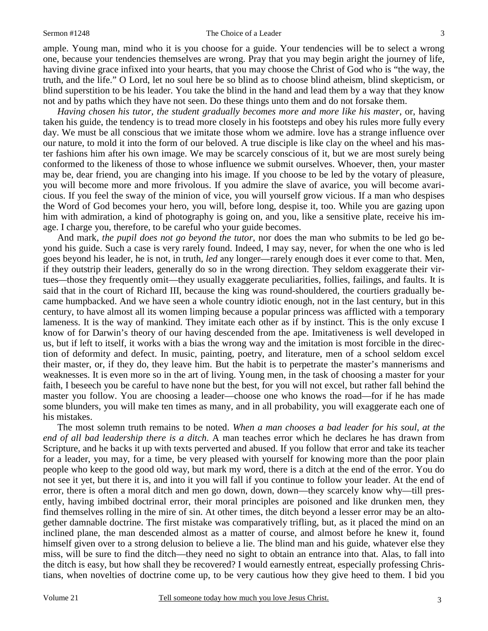#### Sermon #1248 The Choice of a Leader

blind superstition to be his leader. You take the blind in the hand and lead them by a way that they know

ample. Young man, mind who it is you choose for a guide. Your tendencies will be to select a wrong one, because your tendencies themselves are wrong. Pray that you may begin aright the journey of life, having divine grace infixed into your hearts, that you may choose the Christ of God who is "the way, the truth, and the life." O Lord, let no soul here be so blind as to choose blind atheism, blind skepticism, or

not and by paths which they have not seen. Do these things unto them and do not forsake them. *Having chosen his tutor, the student gradually becomes more and more like his master*, or, having taken his guide, the tendency is to tread more closely in his footsteps and obey his rules more fully every day. We must be all conscious that we imitate those whom we admire. love has a strange influence over our nature, to mold it into the form of our beloved. A true disciple is like clay on the wheel and his master fashions him after his own image. We may be scarcely conscious of it, but we are most surely being conformed to the likeness of those to whose influence we submit ourselves. Whoever, then, your master may be, dear friend, you are changing into his image. If you choose to be led by the votary of pleasure, you will become more and more frivolous. If you admire the slave of avarice, you will become avaricious. If you feel the sway of the minion of vice, you will yourself grow vicious. If a man who despises the Word of God becomes your hero, you will, before long, despise it, too. While you are gazing upon him with admiration, a kind of photography is going on, and you, like a sensitive plate, receive his image. I charge you, therefore, to be careful who your guide becomes.

 And mark, *the pupil does not go beyond the tutor*, nor does the man who submits to be led go beyond his guide. Such a case is very rarely found. Indeed, I may say, never, for when the one who is led goes beyond his leader, he is not, in truth, *led* any longer—rarely enough does it ever come to that. Men, if they outstrip their leaders, generally do so in the wrong direction. They seldom exaggerate their virtues*—*those they frequently omit—they usually exaggerate peculiarities, follies, failings, and faults. It is said that in the court of Richard III, because the king was round-shouldered, the courtiers gradually became humpbacked. And we have seen a whole country idiotic enough, not in the last century, but in this century, to have almost all its women limping because a popular princess was afflicted with a temporary lameness. It is the way of mankind. They imitate each other as if by instinct. This is the only excuse I know of for Darwin's theory of our having descended from the ape. Imitativeness is well developed in us, but if left to itself, it works with a bias the wrong way and the imitation is most forcible in the direction of deformity and defect. In music, painting, poetry, and literature, men of a school seldom excel their master, or, if they do, they leave him. But the habit is to perpetrate the master's mannerisms and weaknesses. It is even more so in the art of living. Young men, in the task of choosing a master for your faith, I beseech you be careful to have none but the best, for you will not excel, but rather fall behind the master you follow. You are choosing a leader—choose one who knows the road—for if he has made some blunders, you will make ten times as many, and in all probability, you will exaggerate each one of his mistakes.

 The most solemn truth remains to be noted. *When a man chooses a bad leader for his soul, at the end of all bad leadership there is a ditch*. A man teaches error which he declares he has drawn from Scripture, and he backs it up with texts perverted and abused. If you follow that error and take its teacher for a leader, you may, for a time, be very pleased with yourself for knowing more than the poor plain people who keep to the good old way, but mark my word, there is a ditch at the end of the error. You do not see it yet, but there it is, and into it you will fall if you continue to follow your leader. At the end of error, there is often a moral ditch and men go down, down, down—they scarcely know why—till presently, having imbibed doctrinal error, their moral principles are poisoned and like drunken men, they find themselves rolling in the mire of sin. At other times, the ditch beyond a lesser error may be an altogether damnable doctrine. The first mistake was comparatively trifling, but, as it placed the mind on an inclined plane, the man descended almost as a matter of course, and almost before he knew it, found himself given over to a strong delusion to believe a lie. The blind man and his guide, whatever else they miss, will be sure to find the ditch—they need no sight to obtain an entrance into that. Alas, to fall into the ditch is easy, but how shall they be recovered? I would earnestly entreat, especially professing Christians, when novelties of doctrine come up, to be very cautious how they give heed to them. I bid you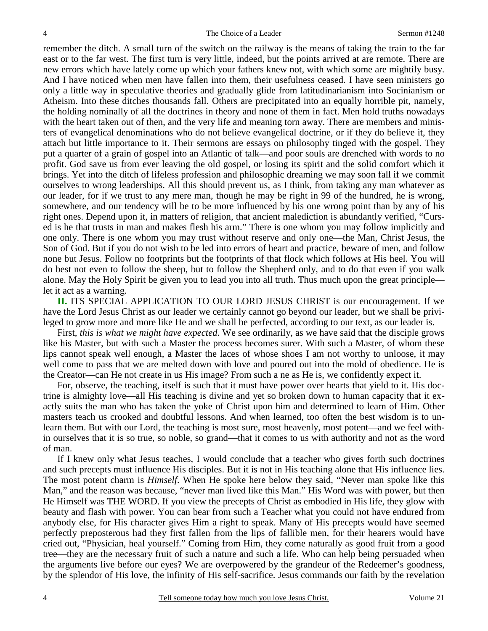remember the ditch. A small turn of the switch on the railway is the means of taking the train to the far east or to the far west. The first turn is very little, indeed, but the points arrived at are remote. There are new errors which have lately come up which your fathers knew not, with which some are mightily busy. And I have noticed when men have fallen into them, their usefulness ceased. I have seen ministers go only a little way in speculative theories and gradually glide from latitudinarianism into Socinianism or Atheism. Into these ditches thousands fall. Others are precipitated into an equally horrible pit, namely, the holding nominally of all the doctrines in theory and none of them in fact. Men hold truths nowadays with the heart taken out of then, and the very life and meaning torn away. There are members and ministers of evangelical denominations who do not believe evangelical doctrine, or if they do believe it, they attach but little importance to it. Their sermons are essays on philosophy tinged with the gospel. They put a quarter of a grain of gospel into an Atlantic of talk—and poor souls are drenched with words to no profit. God save us from ever leaving the old gospel, or losing its spirit and the solid comfort which it brings. Yet into the ditch of lifeless profession and philosophic dreaming we may soon fall if we commit ourselves to wrong leaderships. All this should prevent us, as I think, from taking any man whatever as our leader, for if we trust to any mere man, though he may be right in 99 of the hundred, he is wrong, somewhere, and our tendency will be to be more influenced by his one wrong point than by any of his right ones. Depend upon it, in matters of religion, that ancient malediction is abundantly verified, "Cursed is he that trusts in man and makes flesh his arm." There is one whom you may follow implicitly and one only. There is one whom you may trust without reserve and only one—the Man, Christ Jesus, the Son of God. But if you do not wish to be led into errors of heart and practice, beware of men, and follow none but Jesus. Follow no footprints but the footprints of that flock which follows at His heel. You will do best not even to follow the sheep, but to follow the Shepherd only, and to do that even if you walk alone. May the Holy Spirit be given you to lead you into all truth. Thus much upon the great principle let it act as a warning.

**II.** ITS SPECIAL APPLICATION TO OUR LORD JESUS CHRIST is our encouragement. If we have the Lord Jesus Christ as our leader we certainly cannot go beyond our leader, but we shall be privileged to grow more and more like He and we shall be perfected, according to our text, as our leader is.

 First, *this is what we might have expected*. We see ordinarily, as we have said that the disciple grows like his Master, but with such a Master the process becomes surer. With such a Master, of whom these lips cannot speak well enough, a Master the laces of whose shoes I am not worthy to unloose, it may well come to pass that we are melted down with love and poured out into the mold of obedience. He is the Creator—can He not create in us His image? From such a ne as He is, we confidently expect it.

 For, observe, the teaching, itself is such that it must have power over hearts that yield to it. His doctrine is almighty love—all His teaching is divine and yet so broken down to human capacity that it exactly suits the man who has taken the yoke of Christ upon him and determined to learn of Him. Other masters teach us crooked and doubtful lessons. And when learned, too often the best wisdom is to unlearn them. But with our Lord, the teaching is most sure, most heavenly, most potent—and we feel within ourselves that it is so true, so noble, so grand—that it comes to us with authority and not as the word of man.

 If I knew only what Jesus teaches, I would conclude that a teacher who gives forth such doctrines and such precepts must influence His disciples. But it is not in His teaching alone that His influence lies. The most potent charm is *Himself*. When He spoke here below they said, "Never man spoke like this Man," and the reason was because, "never man lived like this Man." His Word was with power, but then He Himself was THE WORD. If you view the precepts of Christ as embodied in His life, they glow with beauty and flash with power. You can bear from such a Teacher what you could not have endured from anybody else, for His character gives Him a right to speak. Many of His precepts would have seemed perfectly preposterous had they first fallen from the lips of fallible men, for their hearers would have cried out, "Physician, heal yourself." Coming from Him, they come naturally as good fruit from a good tree—they are the necessary fruit of such a nature and such a life. Who can help being persuaded when the arguments live before our eyes? We are overpowered by the grandeur of the Redeemer's goodness, by the splendor of His love, the infinity of His self-sacrifice. Jesus commands our faith by the revelation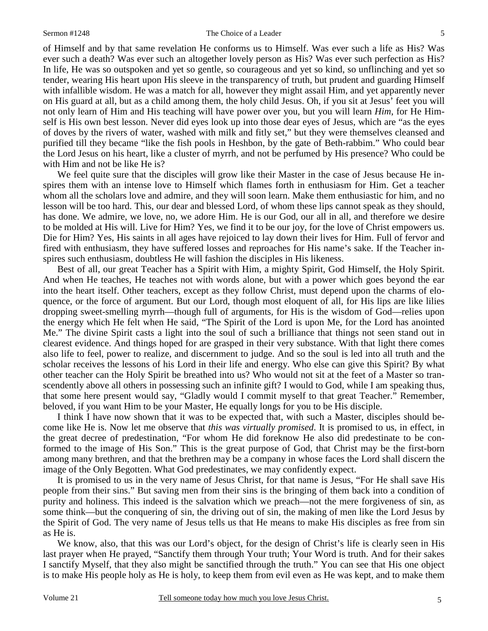of Himself and by that same revelation He conforms us to Himself. Was ever such a life as His? Was ever such a death? Was ever such an altogether lovely person as His? Was ever such perfection as His? In life, He was so outspoken and yet so gentle, so courageous and yet so kind, so unflinching and yet so tender, wearing His heart upon His sleeve in the transparency of truth, but prudent and guarding Himself with infallible wisdom. He was a match for all, however they might assail Him, and yet apparently never on His guard at all, but as a child among them, the holy child Jesus. Oh, if you sit at Jesus' feet you will not only learn of Him and His teaching will have power over you, but you will learn *Him*, for He Himself is His own best lesson. Never did eyes look up into those dear eyes of Jesus, which are "as the eyes of doves by the rivers of water, washed with milk and fitly set," but they were themselves cleansed and purified till they became "like the fish pools in Heshbon, by the gate of Beth-rabbim." Who could bear the Lord Jesus on his heart, like a cluster of myrrh, and not be perfumed by His presence? Who could be with Him and not be like He is?

 We feel quite sure that the disciples will grow like their Master in the case of Jesus because He inspires them with an intense love to Himself which flames forth in enthusiasm for Him. Get a teacher whom all the scholars love and admire, and they will soon learn. Make them enthusiastic for him, and no lesson will be too hard. This, our dear and blessed Lord, of whom these lips cannot speak as they should, has done. We admire, we love, no, we adore Him. He is our God, our all in all, and therefore we desire to be molded at His will. Live for Him? Yes, we find it to be our joy, for the love of Christ empowers us. Die for Him? Yes, His saints in all ages have rejoiced to lay down their lives for Him. Full of fervor and fired with enthusiasm, they have suffered losses and reproaches for His name's sake. If the Teacher inspires such enthusiasm, doubtless He will fashion the disciples in His likeness.

 Best of all, our great Teacher has a Spirit with Him, a mighty Spirit, God Himself, the Holy Spirit. And when He teaches, He teaches not with words alone, but with a power which goes beyond the ear into the heart itself. Other teachers, except as they follow Christ, must depend upon the charms of eloquence, or the force of argument. But our Lord, though most eloquent of all, for His lips are like lilies dropping sweet-smelling myrrh—though full of arguments, for His is the wisdom of God—relies upon the energy which He felt when He said, "The Spirit of the Lord is upon Me, for the Lord has anointed Me." The divine Spirit casts a light into the soul of such a brilliance that things not seen stand out in clearest evidence. And things hoped for are grasped in their very substance. With that light there comes also life to feel, power to realize, and discernment to judge. And so the soul is led into all truth and the scholar receives the lessons of his Lord in their life and energy. Who else can give this Spirit? By what other teacher can the Holy Spirit be breathed into us? Who would not sit at the feet of a Master so transcendently above all others in possessing such an infinite gift? I would to God, while I am speaking thus, that some here present would say, "Gladly would I commit myself to that great Teacher." Remember, beloved, if you want Him to be your Master, He equally longs for you to be His disciple.

 I think I have now shown that it was to be expected that, with such a Master, disciples should become like He is. Now let me observe that *this was virtually promised*. It is promised to us, in effect, in the great decree of predestination, "For whom He did foreknow He also did predestinate to be conformed to the image of His Son." This is the great purpose of God, that Christ may be the first-born among many brethren, and that the brethren may be a company in whose faces the Lord shall discern the image of the Only Begotten. What God predestinates, we may confidently expect.

 It is promised to us in the very name of Jesus Christ, for that name is Jesus, "For He shall save His people from their sins." But saving men from their sins is the bringing of them back into a condition of purity and holiness. This indeed is the salvation which we preach—not the mere forgiveness of sin, as some think—but the conquering of sin, the driving out of sin, the making of men like the Lord Jesus by the Spirit of God. The very name of Jesus tells us that He means to make His disciples as free from sin as He is.

 We know, also, that this was our Lord's object, for the design of Christ's life is clearly seen in His last prayer when He prayed, "Sanctify them through Your truth; Your Word is truth. And for their sakes I sanctify Myself, that they also might be sanctified through the truth." You can see that His one object is to make His people holy as He is holy, to keep them from evil even as He was kept, and to make them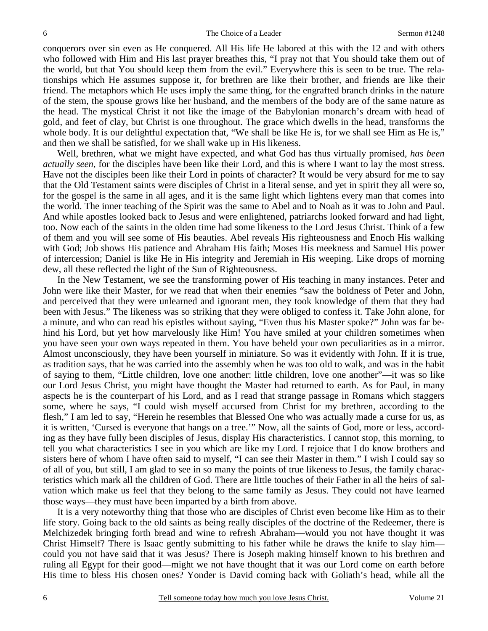conquerors over sin even as He conquered. All His life He labored at this with the 12 and with others who followed with Him and His last prayer breathes this, "I pray not that You should take them out of the world, but that You should keep them from the evil." Everywhere this is seen to be true. The relationships which He assumes suppose it, for brethren are like their brother, and friends are like their friend. The metaphors which He uses imply the same thing, for the engrafted branch drinks in the nature of the stem, the spouse grows like her husband, and the members of the body are of the same nature as the head. The mystical Christ it not like the image of the Babylonian monarch's dream with head of gold, and feet of clay, but Christ is one throughout. The grace which dwells in the head, transforms the whole body. It is our delightful expectation that, "We shall be like He is, for we shall see Him as He is," and then we shall be satisfied, for we shall wake up in His likeness.

 Well, brethren, what we might have expected, and what God has thus virtually promised, *has been actually seen*, for the disciples have been like their Lord, and this is where I want to lay the most stress. Have not the disciples been like their Lord in points of character? It would be very absurd for me to say that the Old Testament saints were disciples of Christ in a literal sense, and yet in spirit they all were so, for the gospel is the same in all ages, and it is the same light which lightens every man that comes into the world. The inner teaching of the Spirit was the same to Abel and to Noah as it was to John and Paul. And while apostles looked back to Jesus and were enlightened, patriarchs looked forward and had light, too. Now each of the saints in the olden time had some likeness to the Lord Jesus Christ. Think of a few of them and you will see some of His beauties. Abel reveals His righteousness and Enoch His walking with God; Job shows His patience and Abraham His faith; Moses His meekness and Samuel His power of intercession; Daniel is like He in His integrity and Jeremiah in His weeping. Like drops of morning dew, all these reflected the light of the Sun of Righteousness.

 In the New Testament, we see the transforming power of His teaching in many instances. Peter and John were like their Master, for we read that when their enemies "saw the boldness of Peter and John, and perceived that they were unlearned and ignorant men, they took knowledge of them that they had been with Jesus." The likeness was so striking that they were obliged to confess it. Take John alone, for a minute, and who can read his epistles without saying, "Even thus his Master spoke?" John was far behind his Lord, but yet how marvelously like Him! You have smiled at your children sometimes when you have seen your own ways repeated in them. You have beheld your own peculiarities as in a mirror. Almost unconsciously, they have been yourself in miniature. So was it evidently with John. If it is true, as tradition says, that he was carried into the assembly when he was too old to walk, and was in the habit of saying to them, "Little children, love one another: little children, love one another"—it was so like our Lord Jesus Christ, you might have thought the Master had returned to earth. As for Paul, in many aspects he is the counterpart of his Lord, and as I read that strange passage in Romans which staggers some, where he says, "I could wish myself accursed from Christ for my brethren, according to the flesh," I am led to say, "Herein he resembles that Blessed One who was actually made a curse for us, as it is written, 'Cursed is everyone that hangs on a tree.'" Now, all the saints of God, more or less, according as they have fully been disciples of Jesus, display His characteristics. I cannot stop, this morning, to tell you what characteristics I see in you which are like my Lord. I rejoice that I do know brothers and sisters here of whom I have often said to myself, "I can see their Master in them." I wish I could say so of all of you, but still, I am glad to see in so many the points of true likeness to Jesus, the family characteristics which mark all the children of God. There are little touches of their Father in all the heirs of salvation which make us feel that they belong to the same family as Jesus. They could not have learned those ways—they must have been imparted by a birth from above.

 It is a very noteworthy thing that those who are disciples of Christ even become like Him as to their life story. Going back to the old saints as being really disciples of the doctrine of the Redeemer, there is Melchizedek bringing forth bread and wine to refresh Abraham—would you not have thought it was Christ Himself? There is Isaac gently submitting to his father while he draws the knife to slay him could you not have said that it was Jesus? There is Joseph making himself known to his brethren and ruling all Egypt for their good—might we not have thought that it was our Lord come on earth before His time to bless His chosen ones? Yonder is David coming back with Goliath's head, while all the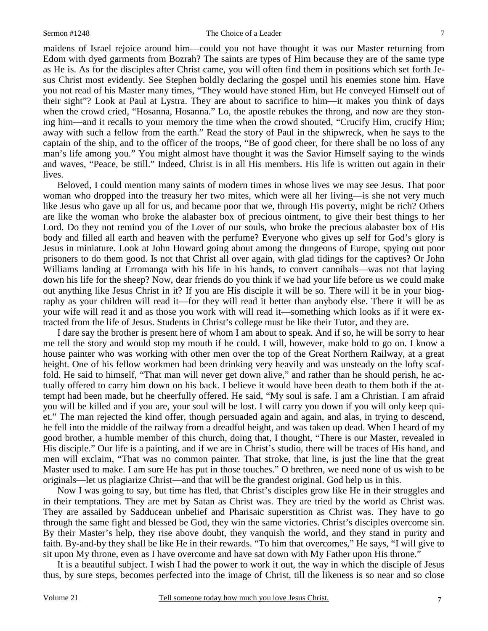#### Sermon #1248 The Choice of a Leader

maidens of Israel rejoice around him—could you not have thought it was our Master returning from Edom with dyed garments from Bozrah? The saints are types of Him because they are of the same type as He is. As for the disciples after Christ came, you will often find them in positions which set forth Jesus Christ most evidently. See Stephen boldly declaring the gospel until his enemies stone him. Have you not read of his Master many times, "They would have stoned Him, but He conveyed Himself out of their sight"? Look at Paul at Lystra. They are about to sacrifice to him—it makes you think of days when the crowd cried, "Hosanna, Hosanna." Lo, the apostle rebukes the throng, and now are they stoning him—and it recalls to your memory the time when the crowd shouted, "Crucify Him, crucify Him; away with such a fellow from the earth." Read the story of Paul in the shipwreck, when he says to the captain of the ship, and to the officer of the troops, "Be of good cheer, for there shall be no loss of any man's life among you." You might almost have thought it was the Savior Himself saying to the winds and waves, "Peace, be still." Indeed, Christ is in all His members. His life is written out again in their lives.

 Beloved, I could mention many saints of modern times in whose lives we may see Jesus. That poor woman who dropped into the treasury her two mites, which were all her living—is she not very much like Jesus who gave up all for us, and became poor that we, through His poverty, might be rich? Others are like the woman who broke the alabaster box of precious ointment, to give their best things to her Lord. Do they not remind you of the Lover of our souls, who broke the precious alabaster box of His body and filled all earth and heaven with the perfume? Everyone who gives up self for God's glory is Jesus in miniature. Look at John Howard going about among the dungeons of Europe, spying out poor prisoners to do them good. Is not that Christ all over again, with glad tidings for the captives? Or John Williams landing at Erromanga with his life in his hands, to convert cannibals—was not that laying down his life for the sheep? Now, dear friends do you think if we had your life before us we could make out anything like Jesus Christ in it? If you are His disciple it will be so. There will it be in your biography as your children will read it—for they will read it better than anybody else. There it will be as your wife will read it and as those you work with will read it—something which looks as if it were extracted from the life of Jesus. Students in Christ's college must be like their Tutor, and they are.

 I dare say the brother is present here of whom I am about to speak. And if so, he will be sorry to hear me tell the story and would stop my mouth if he could. I will, however, make bold to go on. I know a house painter who was working with other men over the top of the Great Northern Railway, at a great height. One of his fellow workmen had been drinking very heavily and was unsteady on the lofty scaffold. He said to himself, "That man will never get down alive," and rather than he should perish, he actually offered to carry him down on his back. I believe it would have been death to them both if the attempt had been made, but he cheerfully offered. He said, "My soul is safe. I am a Christian. I am afraid you will be killed and if you are, your soul will be lost. I will carry you down if you will only keep quiet." The man rejected the kind offer, though persuaded again and again, and alas, in trying to descend, he fell into the middle of the railway from a dreadful height, and was taken up dead. When I heard of my good brother, a humble member of this church, doing that, I thought, "There is our Master, revealed in His disciple." Our life is a painting, and if we are in Christ's studio, there will be traces of His hand, and men will exclaim, "That was no common painter. That stroke, that line, is just the line that the great Master used to make. I am sure He has put in those touches." O brethren, we need none of us wish to be originals—let us plagiarize Christ—and that will be the grandest original. God help us in this.

 Now I was going to say, but time has fled, that Christ's disciples grow like He in their struggles and in their temptations. They are met by Satan as Christ was. They are tried by the world as Christ was. They are assailed by Sadducean unbelief and Pharisaic superstition as Christ was. They have to go through the same fight and blessed be God, they win the same victories. Christ's disciples overcome sin. By their Master's help, they rise above doubt, they vanquish the world, and they stand in purity and faith. By-and-by they shall be like He in their rewards. "To him that overcomes," He says, "I will give to sit upon My throne, even as I have overcome and have sat down with My Father upon His throne."

 It is a beautiful subject. I wish I had the power to work it out, the way in which the disciple of Jesus thus, by sure steps, becomes perfected into the image of Christ, till the likeness is so near and so close